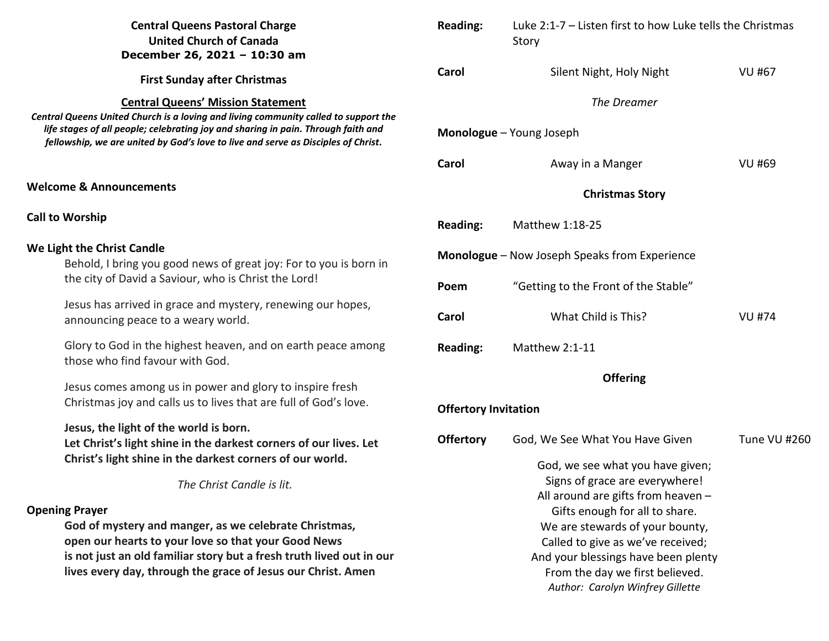| <b>Central Queens Pastoral Charge</b><br><b>United Church of Canada</b><br>December 26, 2021 - 10:30 am                                                                                                                                                                                                   | <b>Reading:</b>                                      | Luke 2:1-7 - Listen first to how Luke tells the Christmas<br>Story                                                                                                                                                                                         |               |
|-----------------------------------------------------------------------------------------------------------------------------------------------------------------------------------------------------------------------------------------------------------------------------------------------------------|------------------------------------------------------|------------------------------------------------------------------------------------------------------------------------------------------------------------------------------------------------------------------------------------------------------------|---------------|
| <b>First Sunday after Christmas</b>                                                                                                                                                                                                                                                                       | Carol                                                | Silent Night, Holy Night                                                                                                                                                                                                                                   | <b>VU #67</b> |
| <b>Central Queens' Mission Statement</b><br>Central Queens United Church is a loving and living community called to support the<br>life stages of all people; celebrating joy and sharing in pain. Through faith and<br>fellowship, we are united by God's love to live and serve as Disciples of Christ. | The Dreamer<br>Monologue - Young Joseph              |                                                                                                                                                                                                                                                            |               |
|                                                                                                                                                                                                                                                                                                           | Carol                                                | Away in a Manger                                                                                                                                                                                                                                           | <b>VU #69</b> |
| <b>Welcome &amp; Announcements</b>                                                                                                                                                                                                                                                                        |                                                      | <b>Christmas Story</b>                                                                                                                                                                                                                                     |               |
| <b>Call to Worship</b>                                                                                                                                                                                                                                                                                    | <b>Reading:</b>                                      | Matthew 1:18-25                                                                                                                                                                                                                                            |               |
| We Light the Christ Candle<br>Behold, I bring you good news of great joy: For to you is born in                                                                                                                                                                                                           | <b>Monologue</b> – Now Joseph Speaks from Experience |                                                                                                                                                                                                                                                            |               |
| the city of David a Saviour, who is Christ the Lord!                                                                                                                                                                                                                                                      | Poem                                                 | "Getting to the Front of the Stable"                                                                                                                                                                                                                       |               |
| Jesus has arrived in grace and mystery, renewing our hopes,<br>announcing peace to a weary world.                                                                                                                                                                                                         | Carol                                                | What Child is This?                                                                                                                                                                                                                                        | <b>VU #74</b> |
| Glory to God in the highest heaven, and on earth peace among<br>those who find favour with God.                                                                                                                                                                                                           | <b>Reading:</b>                                      | Matthew 2:1-11                                                                                                                                                                                                                                             |               |
| Jesus comes among us in power and glory to inspire fresh<br>Christmas joy and calls us to lives that are full of God's love.                                                                                                                                                                              | <b>Offering</b><br><b>Offertory Invitation</b>       |                                                                                                                                                                                                                                                            |               |
| Jesus, the light of the world is born.<br>Let Christ's light shine in the darkest corners of our lives. Let<br>Christ's light shine in the darkest corners of our world.<br>The Christ Candle is lit.                                                                                                     | <b>Offertory</b>                                     | God, We See What You Have Given<br>God, we see what you have given;<br>Signs of grace are everywhere!                                                                                                                                                      | Tune VU #260  |
| <b>Opening Prayer</b><br>God of mystery and manger, as we celebrate Christmas,<br>open our hearts to your love so that your Good News<br>is not just an old familiar story but a fresh truth lived out in our<br>lives every day, through the grace of Jesus our Christ. Amen                             |                                                      | All around are gifts from heaven -<br>Gifts enough for all to share.<br>We are stewards of your bounty,<br>Called to give as we've received;<br>And your blessings have been plenty<br>From the day we first believed.<br>Author: Carolyn Winfrey Gillette |               |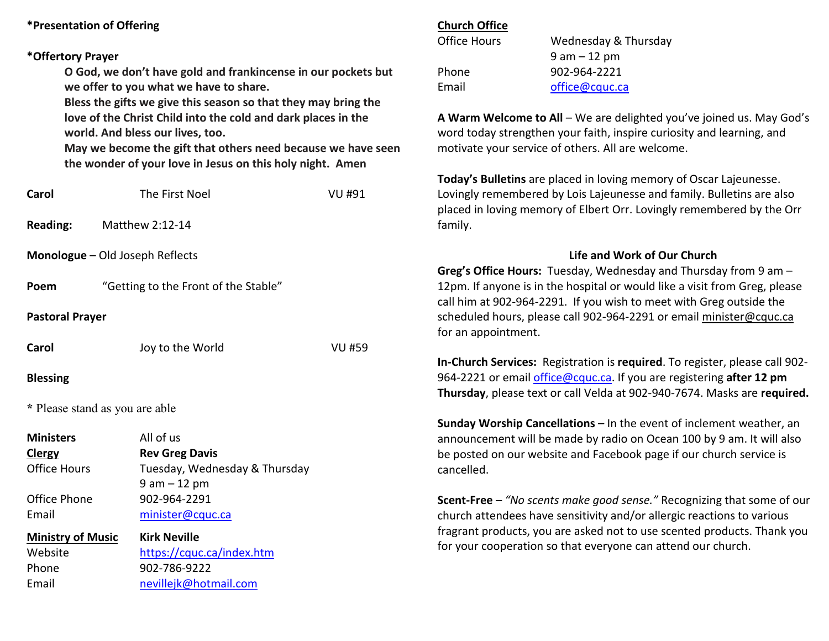## **\*Presentation of Offering**

## **\*Offertory Prayer**

**O God, we don't have gold and frankincense in our pockets but we offer to you what we have to share.** 

**Bless the gifts we give this season so that they may bring the love of the Christ Child into the cold and dark places in the world. And bless our lives, too.** 

**May we become the gift that others need because we have seen the wonder of your love in Jesus on this holy night. Amen** 

| Carol                                                                             | The First Noel                                                                                                            | VU #91 |  |  |
|-----------------------------------------------------------------------------------|---------------------------------------------------------------------------------------------------------------------------|--------|--|--|
|                                                                                   | Reading: Matthew 2:12-14                                                                                                  |        |  |  |
| Monologue - Old Joseph Reflects                                                   |                                                                                                                           |        |  |  |
| Poem                                                                              | "Getting to the Front of the Stable"                                                                                      |        |  |  |
| <b>Pastoral Prayer</b>                                                            |                                                                                                                           |        |  |  |
| Carol                                                                             | Joy to the World                                                                                                          | VU #59 |  |  |
| <b>Blessing</b>                                                                   |                                                                                                                           |        |  |  |
| * Please stand as you are able                                                    |                                                                                                                           |        |  |  |
| <b>Ministers</b><br><b>Clergy</b><br><b>Office Hours</b><br>Office Phone<br>Email | All of us<br><b>Rev Greg Davis</b><br>Tuesday, Wednesday & Thursday<br>$9 am - 12 pm$<br>902-964-2291<br>minister@cquc.ca |        |  |  |
| <b>Ministry of Music</b><br>Website<br>Phone<br>Email                             | <b>Kirk Neville</b><br>https://cquc.ca/index.htm<br>902-786-9222<br>nevillejk@hotmail.com                                 |        |  |  |

## **Church Office**

| Office Hours | Wednesday & Thursday |
|--------------|----------------------|
|              | $9$ am $-12$ pm      |
| Phone        | 902-964-2221         |
| Email        | office@cquc.ca       |
|              |                      |

**A Warm Welcome to All** – We are delighted you've joined us. May God's word today strengthen your faith, inspire curiosity and learning, and motivate your service of others. All are welcome.

**Today's Bulletins** are placed in loving memory of Oscar Lajeunesse. Lovingly remembered by Lois Lajeunesse and family. Bulletins are also placed in loving memory of Elbert Orr. Lovingly remembered by the Orr family.

## **Life and Work of Our Church**

**Greg's Office Hours:** Tuesday, Wednesday and Thursday from 9 am – 12pm. If anyone is in the hospital or would like a visit from Greg, please call him at 902-964-2291. If you wish to meet with Greg outside the scheduled hours, please call 902-964-2291 or email minister@cquc.ca for an appointment.

**In-Church Services:** Registration is **required**. To register, please call 902- 964-2221 or email office@cquc.ca. If you are registering **after 12 pmThursday**, please text or call Velda at 902-940-7674. Masks are **required.**

**Sunday Worship Cancellations** – In the event of inclement weather, an announcement will be made by radio on Ocean 100 by 9 am. It will also be posted on our website and Facebook page if our church service is cancelled.

**Scent-Free** – *"No scents make good sense."* Recognizing that some of our church attendees have sensitivity and/or allergic reactions to various fragrant products, you are asked not to use scented products. Thank you for your cooperation so that everyone can attend our church.